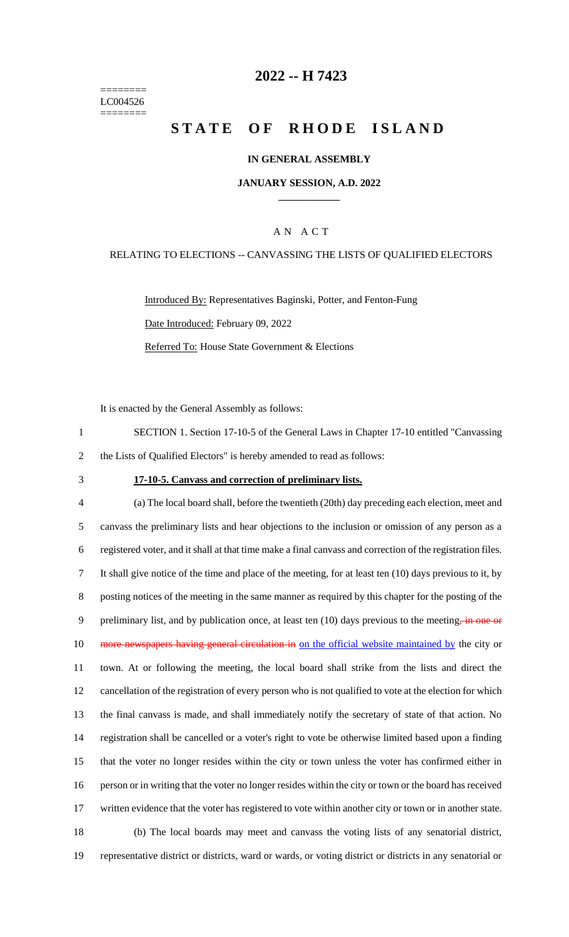======== LC004526 ========

## **2022 -- H 7423**

# **STATE OF RHODE ISLAND**

### **IN GENERAL ASSEMBLY**

#### **JANUARY SESSION, A.D. 2022 \_\_\_\_\_\_\_\_\_\_\_\_**

### A N A C T

#### RELATING TO ELECTIONS -- CANVASSING THE LISTS OF QUALIFIED ELECTORS

Introduced By: Representatives Baginski, Potter, and Fenton-Fung Date Introduced: February 09, 2022 Referred To: House State Government & Elections

It is enacted by the General Assembly as follows:

1 SECTION 1. Section 17-10-5 of the General Laws in Chapter 17-10 entitled "Canvassing 2 the Lists of Qualified Electors" is hereby amended to read as follows:

#### 3 **17-10-5. Canvass and correction of preliminary lists.**

 (a) The local board shall, before the twentieth (20th) day preceding each election, meet and canvass the preliminary lists and hear objections to the inclusion or omission of any person as a registered voter, and it shall at that time make a final canvass and correction of the registration files. It shall give notice of the time and place of the meeting, for at least ten (10) days previous to it, by posting notices of the meeting in the same manner as required by this chapter for the posting of the 9 preliminary list, and by publication once, at least ten (10) days previous to the meeting, in one or 10 more newspapers having general circulation in on the official website maintained by the city or town. At or following the meeting, the local board shall strike from the lists and direct the cancellation of the registration of every person who is not qualified to vote at the election for which the final canvass is made, and shall immediately notify the secretary of state of that action. No registration shall be cancelled or a voter's right to vote be otherwise limited based upon a finding that the voter no longer resides within the city or town unless the voter has confirmed either in person or in writing that the voter no longer resides within the city or town or the board has received 17 written evidence that the voter has registered to vote within another city or town or in another state. (b) The local boards may meet and canvass the voting lists of any senatorial district, representative district or districts, ward or wards, or voting district or districts in any senatorial or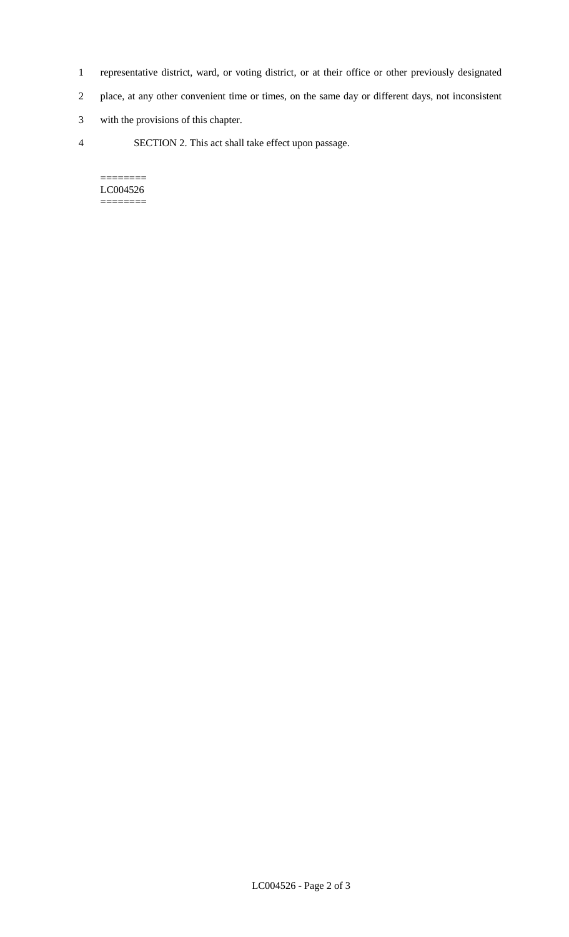- 1 representative district, ward, or voting district, or at their office or other previously designated
- 2 place, at any other convenient time or times, on the same day or different days, not inconsistent
- 3 with the provisions of this chapter.
- 4 SECTION 2. This act shall take effect upon passage.

======== LC004526  $=$